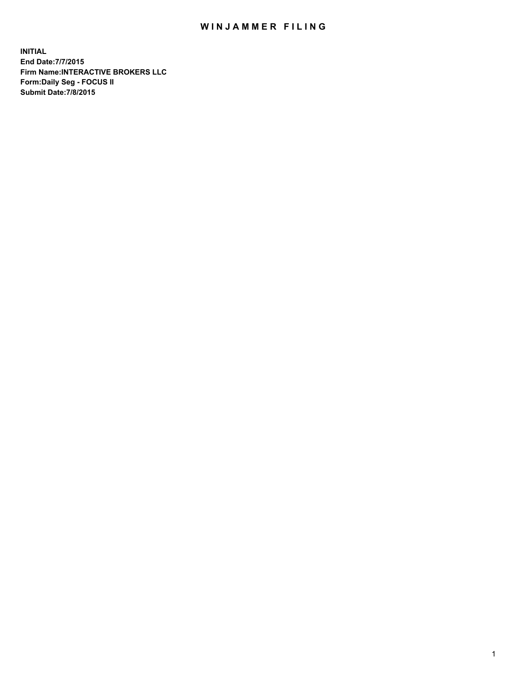## WIN JAMMER FILING

**INITIAL End Date:7/7/2015 Firm Name:INTERACTIVE BROKERS LLC Form:Daily Seg - FOCUS II Submit Date:7/8/2015**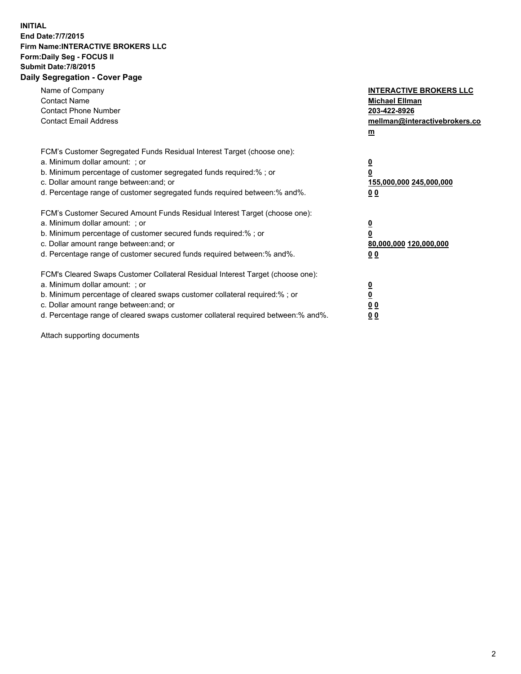## **INITIAL End Date:7/7/2015 Firm Name:INTERACTIVE BROKERS LLC Form:Daily Seg - FOCUS II Submit Date:7/8/2015 Daily Segregation - Cover Page**

| Name of Company<br><b>Contact Name</b><br><b>Contact Phone Number</b><br><b>Contact Email Address</b>                                                                                                                                                                                                                          | <b>INTERACTIVE BROKERS LLC</b><br><b>Michael Ellman</b><br>203-422-8926<br>mellman@interactivebrokers.co<br>$\mathbf{m}$ |
|--------------------------------------------------------------------------------------------------------------------------------------------------------------------------------------------------------------------------------------------------------------------------------------------------------------------------------|--------------------------------------------------------------------------------------------------------------------------|
| FCM's Customer Segregated Funds Residual Interest Target (choose one):<br>a. Minimum dollar amount: ; or<br>b. Minimum percentage of customer segregated funds required:% ; or<br>c. Dollar amount range between: and; or<br>d. Percentage range of customer segregated funds required between:% and%.                         | $\overline{\mathbf{0}}$<br>0<br>155,000,000 245,000,000<br>0 <sub>0</sub>                                                |
| FCM's Customer Secured Amount Funds Residual Interest Target (choose one):<br>a. Minimum dollar amount: ; or<br>b. Minimum percentage of customer secured funds required:%; or<br>c. Dollar amount range between: and; or<br>d. Percentage range of customer secured funds required between: % and %.                          | $\underline{\mathbf{0}}$<br>0<br>80,000,000 120,000,000<br>0 <sub>0</sub>                                                |
| FCM's Cleared Swaps Customer Collateral Residual Interest Target (choose one):<br>a. Minimum dollar amount: ; or<br>b. Minimum percentage of cleared swaps customer collateral required:% ; or<br>c. Dollar amount range between: and; or<br>d. Percentage range of cleared swaps customer collateral required between:% and%. | $\overline{\mathbf{0}}$<br>$\overline{\mathbf{0}}$<br>0 <sub>0</sub><br>0 <sup>0</sup>                                   |

Attach supporting documents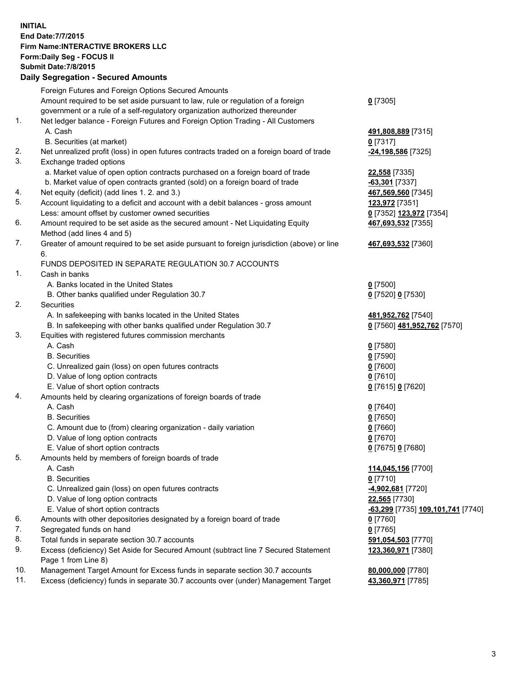## **INITIAL End Date:7/7/2015 Firm Name:INTERACTIVE BROKERS LLC Form:Daily Seg - FOCUS II Submit Date:7/8/2015 Daily Segregation - Secured Amounts**

|     | Foreign Futures and Foreign Options Secured Amounts                                         |                                  |
|-----|---------------------------------------------------------------------------------------------|----------------------------------|
|     | Amount required to be set aside pursuant to law, rule or regulation of a foreign            | $0$ [7305]                       |
|     | government or a rule of a self-regulatory organization authorized thereunder                |                                  |
| 1.  | Net ledger balance - Foreign Futures and Foreign Option Trading - All Customers             |                                  |
|     | A. Cash                                                                                     | 491,808,889 [7315]               |
|     | B. Securities (at market)                                                                   | $0$ [7317]                       |
| 2.  | Net unrealized profit (loss) in open futures contracts traded on a foreign board of trade   | -24,198,586 [7325]               |
| 3.  | Exchange traded options                                                                     |                                  |
|     | a. Market value of open option contracts purchased on a foreign board of trade              | 22,558 [7335]                    |
|     | b. Market value of open contracts granted (sold) on a foreign board of trade                | -63,301 [7337]                   |
| 4.  | Net equity (deficit) (add lines 1.2. and 3.)                                                | 467,569,560 [7345]               |
| 5.  | Account liquidating to a deficit and account with a debit balances - gross amount           | 123,972 [7351]                   |
|     | Less: amount offset by customer owned securities                                            | 0 [7352] 123,972 [7354]          |
| 6.  | Amount required to be set aside as the secured amount - Net Liquidating Equity              | 467,693,532 [7355]               |
|     | Method (add lines 4 and 5)                                                                  |                                  |
| 7.  | Greater of amount required to be set aside pursuant to foreign jurisdiction (above) or line |                                  |
|     |                                                                                             | 467,693,532 [7360]               |
|     | 6.                                                                                          |                                  |
|     | FUNDS DEPOSITED IN SEPARATE REGULATION 30.7 ACCOUNTS                                        |                                  |
| 1.  | Cash in banks                                                                               |                                  |
|     | A. Banks located in the United States                                                       | $0$ [7500]                       |
|     | B. Other banks qualified under Regulation 30.7                                              | 0 [7520] 0 [7530]                |
| 2.  | Securities                                                                                  |                                  |
|     | A. In safekeeping with banks located in the United States                                   | 481,952,762 [7540]               |
|     | B. In safekeeping with other banks qualified under Regulation 30.7                          | 0 [7560] 481,952,762 [7570]      |
| 3.  | Equities with registered futures commission merchants                                       |                                  |
|     | A. Cash                                                                                     | $0$ [7580]                       |
|     | <b>B.</b> Securities                                                                        | $0$ [7590]                       |
|     | C. Unrealized gain (loss) on open futures contracts                                         | $0$ [7600]                       |
|     | D. Value of long option contracts                                                           | $0$ [7610]                       |
|     | E. Value of short option contracts                                                          | 0 [7615] 0 [7620]                |
| 4.  | Amounts held by clearing organizations of foreign boards of trade                           |                                  |
|     | A. Cash                                                                                     | $0$ [7640]                       |
|     | <b>B.</b> Securities                                                                        | $0$ [7650]                       |
|     | C. Amount due to (from) clearing organization - daily variation                             | $0$ [7660]                       |
|     | D. Value of long option contracts                                                           | $0$ [7670]                       |
|     | E. Value of short option contracts                                                          | 0 [7675] 0 [7680]                |
| 5.  | Amounts held by members of foreign boards of trade                                          |                                  |
|     | A. Cash                                                                                     | 114,045,156 [7700]               |
|     | <b>B.</b> Securities                                                                        | $0$ [7710]                       |
|     | C. Unrealized gain (loss) on open futures contracts                                         | 4,902,681 [7720]                 |
|     | D. Value of long option contracts                                                           | 22,565 [7730]                    |
|     | E. Value of short option contracts                                                          | 63,299 [7735] 109,101,741 [7740] |
| 6.  | Amounts with other depositories designated by a foreign board of trade                      | $0$ [7760]                       |
| 7.  | Segregated funds on hand                                                                    | $0$ [7765]                       |
| 8.  | Total funds in separate section 30.7 accounts                                               | 591,054,503 [7770]               |
| 9.  | Excess (deficiency) Set Aside for Secured Amount (subtract line 7 Secured Statement         | 123,360,971 [7380]               |
|     | Page 1 from Line 8)                                                                         |                                  |
| 10. | Management Target Amount for Excess funds in separate section 30.7 accounts                 | 80,000,000 [7780]                |
| 11. | Excess (deficiency) funds in separate 30.7 accounts over (under) Management Target          | 43,360,971 [7785]                |
|     |                                                                                             |                                  |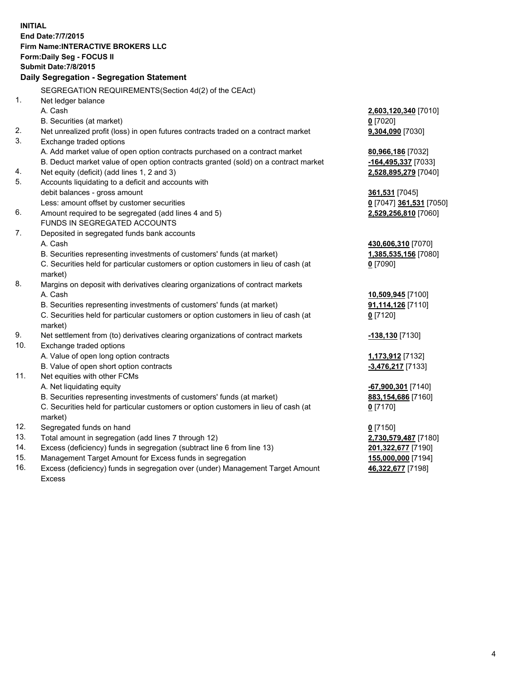**INITIAL End Date:7/7/2015 Firm Name:INTERACTIVE BROKERS LLC Form:Daily Seg - FOCUS II Submit Date:7/8/2015 Daily Segregation - Segregation Statement** SEGREGATION REQUIREMENTS(Section 4d(2) of the CEAct) 1. Net ledger balance A. Cash **2,603,120,340** [7010] B. Securities (at market) **0** [7020] 2. Net unrealized profit (loss) in open futures contracts traded on a contract market **9,304,090** [7030] 3. Exchange traded options A. Add market value of open option contracts purchased on a contract market **80,966,186** [7032] B. Deduct market value of open option contracts granted (sold) on a contract market **-164,495,337** [7033] 4. Net equity (deficit) (add lines 1, 2 and 3) **2,528,895,279** [7040] 5. Accounts liquidating to a deficit and accounts with debit balances - gross amount **361,531** [7045] Less: amount offset by customer securities **0** [7047] **361,531** [7050] 6. Amount required to be segregated (add lines 4 and 5) **2,529,256,810** [7060] FUNDS IN SEGREGATED ACCOUNTS 7. Deposited in segregated funds bank accounts A. Cash **430,606,310** [7070] B. Securities representing investments of customers' funds (at market) **1,385,535,156** [7080] C. Securities held for particular customers or option customers in lieu of cash (at market) **0** [7090] 8. Margins on deposit with derivatives clearing organizations of contract markets A. Cash **10,509,945** [7100] B. Securities representing investments of customers' funds (at market) **91,114,126** [7110] C. Securities held for particular customers or option customers in lieu of cash (at market) **0** [7120] 9. Net settlement from (to) derivatives clearing organizations of contract markets **-138,130** [7130] 10. Exchange traded options A. Value of open long option contracts **1,173,912** [7132] B. Value of open short option contracts **-3,476,217** [7133] 11. Net equities with other FCMs A. Net liquidating equity **-67,900,301** [7140] B. Securities representing investments of customers' funds (at market) **883,154,686** [7160] C. Securities held for particular customers or option customers in lieu of cash (at market) **0** [7170] 12. Segregated funds on hand **0** [7150] 13. Total amount in segregation (add lines 7 through 12) **2,730,579,487** [7180] 14. Excess (deficiency) funds in segregation (subtract line 6 from line 13) **201,322,677** [7190] 15. Management Target Amount for Excess funds in segregation **155,000,000** [7194]

16. Excess (deficiency) funds in segregation over (under) Management Target Amount Excess

**46,322,677** [7198]